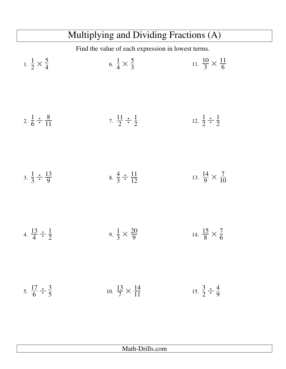|                                     | Multiplying and Dividing Fractions (A)             |                                        |
|-------------------------------------|----------------------------------------------------|----------------------------------------|
|                                     | Find the value of each expression in lowest terms. |                                        |
| 1. $\frac{1}{2} \times \frac{5}{4}$ | 6. $\frac{1}{4} \times \frac{5}{3}$                | 11. $\frac{10}{3} \times \frac{11}{6}$ |
| 2. $\frac{1}{6} \div \frac{8}{11}$  | 7. $\frac{11}{2} \div \frac{1}{2}$                 | 12. $\frac{1}{2} \div \frac{1}{2}$     |
| 3. $\frac{1}{3} \div \frac{13}{9}$  | 8. $\frac{4}{3} \div \frac{11}{12}$                | 13. $\frac{14}{9} \times \frac{7}{10}$ |
| 4. $\frac{13}{4} \div \frac{1}{2}$  | 9. $\frac{1}{3} \times \frac{20}{9}$               | 14. $\frac{15}{8} \times \frac{7}{6}$  |
| 5. $\frac{17}{6} \div \frac{3}{5}$  | 10. $\frac{13}{7} \times \frac{14}{11}$            | 15. $\frac{3}{2} \div \frac{4}{9}$     |

 $\overline{\phantom{a}}$